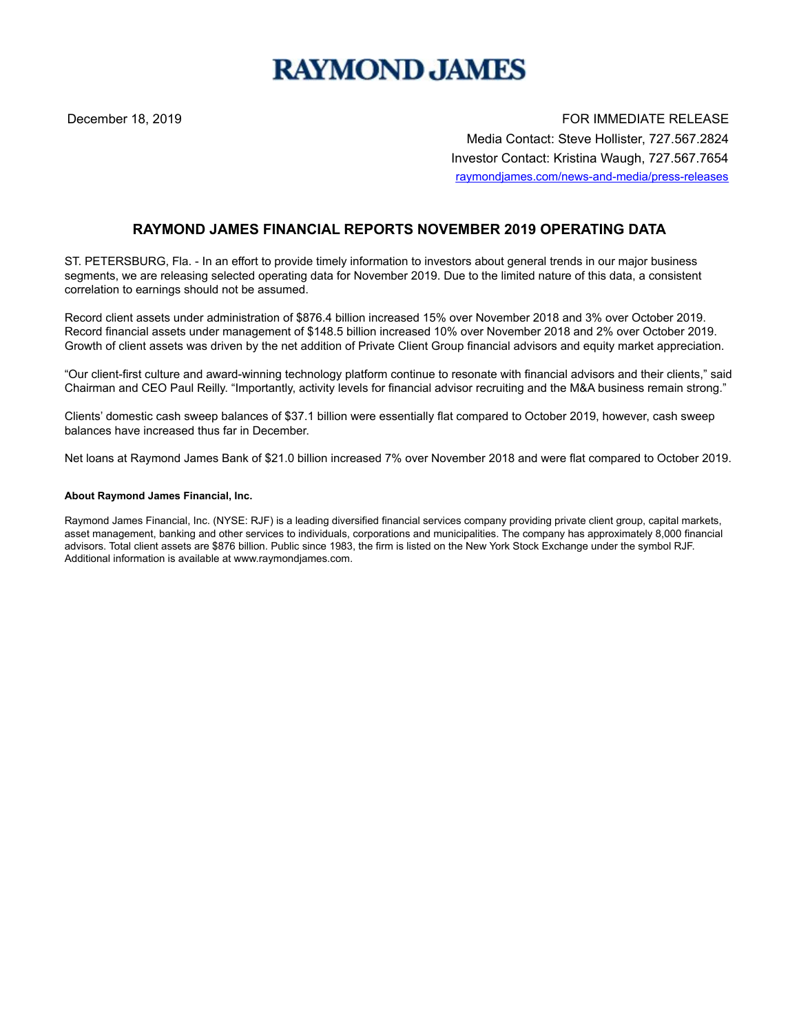## **RAYMOND JAMES**

December 18, 2019 FOR IMMEDIATE RELEASE Media Contact: Steve Hollister, 727.567.2824 Investor Contact: Kristina Waugh, 727.567.7654 raymondjames.com/news-and-media/press-releases

## **RAYMOND JAMES FINANCIAL REPORTS NOVEMBER 2019 OPERATING DATA**

ST. PETERSBURG, Fla. - In an effort to provide timely information to investors about general trends in our major business segments, we are releasing selected operating data for November 2019. Due to the limited nature of this data, a consistent correlation to earnings should not be assumed.

Record client assets under administration of \$876.4 billion increased 15% over November 2018 and 3% over October 2019. Record financial assets under management of \$148.5 billion increased 10% over November 2018 and 2% over October 2019. Growth of client assets was driven by the net addition of Private Client Group financial advisors and equity market appreciation.

"Our client-first culture and award-winning technology platform continue to resonate with financial advisors and their clients," said Chairman and CEO Paul Reilly. "Importantly, activity levels for financial advisor recruiting and the M&A business remain strong."

Clients' domestic cash sweep balances of \$37.1 billion were essentially flat compared to October 2019, however, cash sweep balances have increased thus far in December.

Net loans at Raymond James Bank of \$21.0 billion increased 7% over November 2018 and were flat compared to October 2019.

## **About Raymond James Financial, Inc.**

Raymond James Financial, Inc. (NYSE: RJF) is a leading diversified financial services company providing private client group, capital markets, asset management, banking and other services to individuals, corporations and municipalities. The company has approximately 8,000 financial advisors. Total client assets are \$876 billion. Public since 1983, the firm is listed on the New York Stock Exchange under the symbol RJF. Additional information is available at www.raymondjames.com.